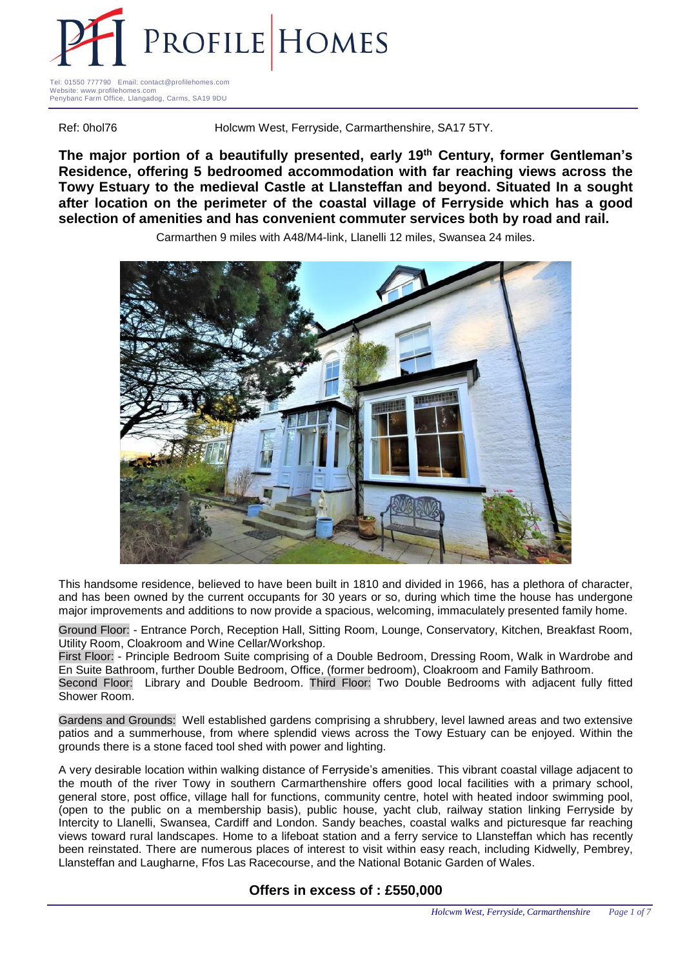

Tel: 01550 777790 Email: contact@profilehomes.com Website: www.profilehomes.com Penybanc Farm Office, Llangadog, Carms, SA19 9DU

Ref: 0hol76 **Holcwm West, Ferryside, Carmarthenshire, SA17 5TY.** 

**The major portion of a beautifully presented, early 19th Century, former Gentleman's Residence, offering 5 bedroomed accommodation with far reaching views across the Towy Estuary to the medieval Castle at Llansteffan and beyond. Situated In a sought after location on the perimeter of the coastal village of Ferryside which has a good selection of amenities and has convenient commuter services both by road and rail.**

Carmarthen 9 miles with A48/M4-link, Llanelli 12 miles, Swansea 24 miles.



This handsome residence, believed to have been built in 1810 and divided in 1966, has a plethora of character, and has been owned by the current occupants for 30 years or so, during which time the house has undergone major improvements and additions to now provide a spacious, welcoming, immaculately presented family home.

Ground Floor: - Entrance Porch, Reception Hall, Sitting Room, Lounge, Conservatory, Kitchen, Breakfast Room, Utility Room, Cloakroom and Wine Cellar/Workshop.

First Floor: - Principle Bedroom Suite comprising of a Double Bedroom, Dressing Room, Walk in Wardrobe and En Suite Bathroom, further Double Bedroom, Office, (former bedroom), Cloakroom and Family Bathroom. Second Floor: Library and Double Bedroom. Third Floor: Two Double Bedrooms with adjacent fully fitted

Shower Room.

Gardens and Grounds: Well established gardens comprising a shrubbery, level lawned areas and two extensive patios and a summerhouse, from where splendid views across the Towy Estuary can be enjoyed. Within the grounds there is a stone faced tool shed with power and lighting.

A very desirable location within walking distance of Ferryside's amenities. This vibrant coastal village adjacent to the mouth of the river Towy in southern Carmarthenshire offers good local facilities with a primary school, general store, post office, village hall for functions, community centre, hotel with heated indoor swimming pool, (open to the public on a membership basis), public house, yacht club, railway station linking Ferryside by Intercity to Llanelli, Swansea, Cardiff and London. Sandy beaches, coastal walks and picturesque far reaching views toward rural landscapes. Home to a lifeboat station and a ferry service to Llansteffan which has recently been reinstated. There are numerous places of interest to visit within easy reach, including Kidwelly, Pembrey, Llansteffan and Laugharne, Ffos Las Racecourse, and the National Botanic Garden of Wales.

## **Offers in excess of : £550,000**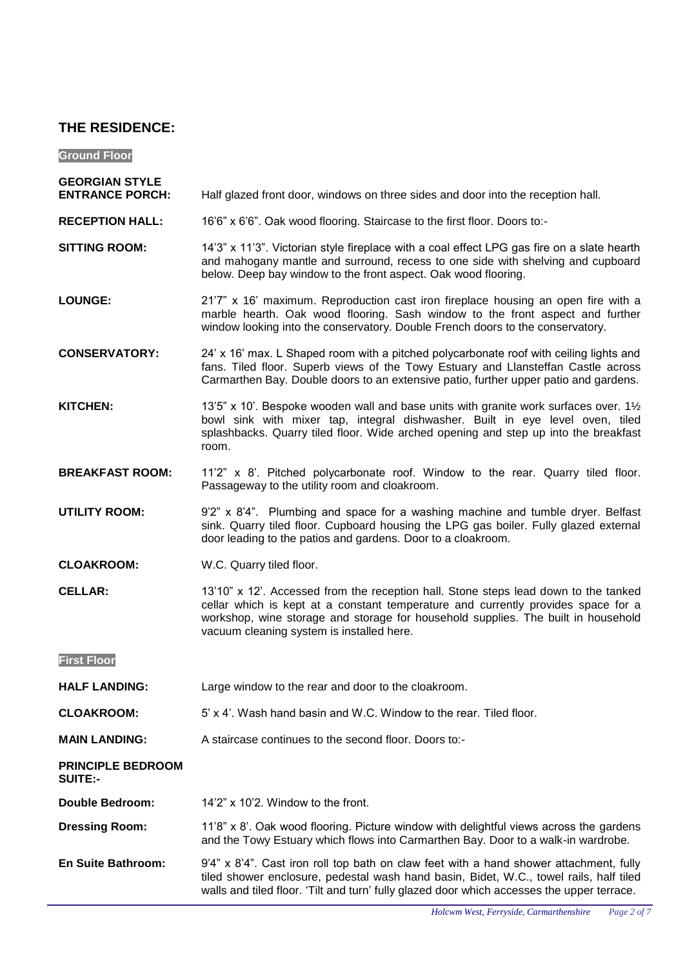# **THE RESIDENCE:**

**Ground Floor –**

- **GEORGIAN STYLE**  Half glazed front door, windows on three sides and door into the reception hall.
- **RECEPTION HALL:** 16'6" x 6'6". Oak wood flooring. Staircase to the first floor. Doors to:-
- **SITTING ROOM:** 14'3" x 11'3". Victorian style fireplace with a coal effect LPG gas fire on a slate hearth and mahogany mantle and surround, recess to one side with shelving and cupboard below. Deep bay window to the front aspect. Oak wood flooring.
- **LOUNGE:** 21'7" x 16' maximum. Reproduction cast iron fireplace housing an open fire with a marble hearth. Oak wood flooring. Sash window to the front aspect and further window looking into the conservatory. Double French doors to the conservatory.
- **CONSERVATORY:** 24' x 16' max. L Shaped room with a pitched polycarbonate roof with ceiling lights and fans. Tiled floor. Superb views of the Towy Estuary and Llansteffan Castle across Carmarthen Bay. Double doors to an extensive patio, further upper patio and gardens.
- **KITCHEN:** 13'5" x 10'. Bespoke wooden wall and base units with granite work surfaces over.  $1\frac{1}{2}$ bowl sink with mixer tap, integral dishwasher. Built in eye level oven, tiled splashbacks. Quarry tiled floor. Wide arched opening and step up into the breakfast room.
- **BREAKFAST ROOM:** 11'2" x 8'. Pitched polycarbonate roof. Window to the rear. Quarry tiled floor. Passageway to the utility room and cloakroom.
- **UTILITY ROOM:** 9'2" x 8'4". Plumbing and space for a washing machine and tumble dryer. Belfast sink. Quarry tiled floor. Cupboard housing the LPG gas boiler. Fully glazed external door leading to the patios and gardens. Door to a cloakroom.
- **CLOAKROOM:**  W.C. Quarry tiled floor.
- **CELLAR:** 13'10" x 12'. Accessed from the reception hall. Stone steps lead down to the tanked cellar which is kept at a constant temperature and currently provides space for a workshop, wine storage and storage for household supplies. The built in household vacuum cleaning system is installed here.

**First Floor** 

**HALF LANDING:** Large window to the rear and door to the cloakroom.

- **CLOAKROOM:** 5' x 4'. Wash hand basin and W.C. Window to the rear. Tiled floor.
- **MAIN LANDING:** A staircase continues to the second floor. Doors to:-

| <b>PRINCIPLE BEDROOM</b> |  |
|--------------------------|--|
| <b>SUITE:-</b>           |  |

**Double Bedroom:** 14'2" x 10'2. Window to the front.

**Dressing Room:** 11'8" x 8'. Oak wood flooring. Picture window with delightful views across the gardens and the Towy Estuary which flows into Carmarthen Bay. Door to a walk-in wardrobe.

**En Suite Bathroom:** 9'4" x 8'4". Cast iron roll top bath on claw feet with a hand shower attachment, fully tiled shower enclosure, pedestal wash hand basin, Bidet, W.C., towel rails, half tiled walls and tiled floor. 'Tilt and turn' fully glazed door which accesses the upper terrace.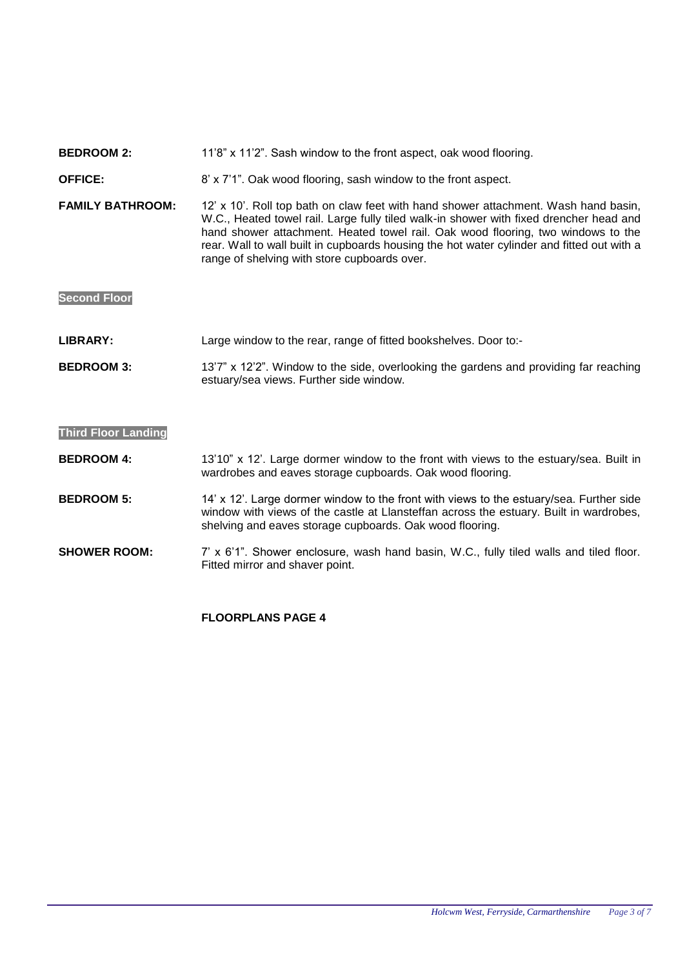### **BEDROOM 2:** 11'8" x 11'2". Sash window to the front aspect, oak wood flooring.

#### **OFFICE:** 8' x 7'1". Oak wood flooring, sash window to the front aspect.

**FAMILY BATHROOM:** 12' x 10'. Roll top bath on claw feet with hand shower attachment. Wash hand basin, W.C., Heated towel rail. Large fully tiled walk-in shower with fixed drencher head and hand shower attachment. Heated towel rail. Oak wood flooring, two windows to the rear. Wall to wall built in cupboards housing the hot water cylinder and fitted out with a range of shelving with store cupboards over.

**Second Floor**

LIBRARY: Large window to the rear, range of fitted bookshelves. Door to:-

**BEDROOM 3:** 13'7" x 12'2". Window to the side, overlooking the gardens and providing far reaching estuary/sea views. Further side window.

### **Third Floor Landing**

**BEDROOM 4:** 13'10" x 12'. Large dormer window to the front with views to the estuary/sea. Built in wardrobes and eaves storage cupboards. Oak wood flooring.

**BEDROOM 5:** 14' x 12'. Large dormer window to the front with views to the estuary/sea. Further side window with views of the castle at Llansteffan across the estuary. Built in wardrobes, shelving and eaves storage cupboards. Oak wood flooring.

**SHOWER ROOM:** 7' x 6'1". Shower enclosure, wash hand basin, W.C., fully tiled walls and tiled floor. Fitted mirror and shaver point.

## **FLOORPLANS PAGE 4**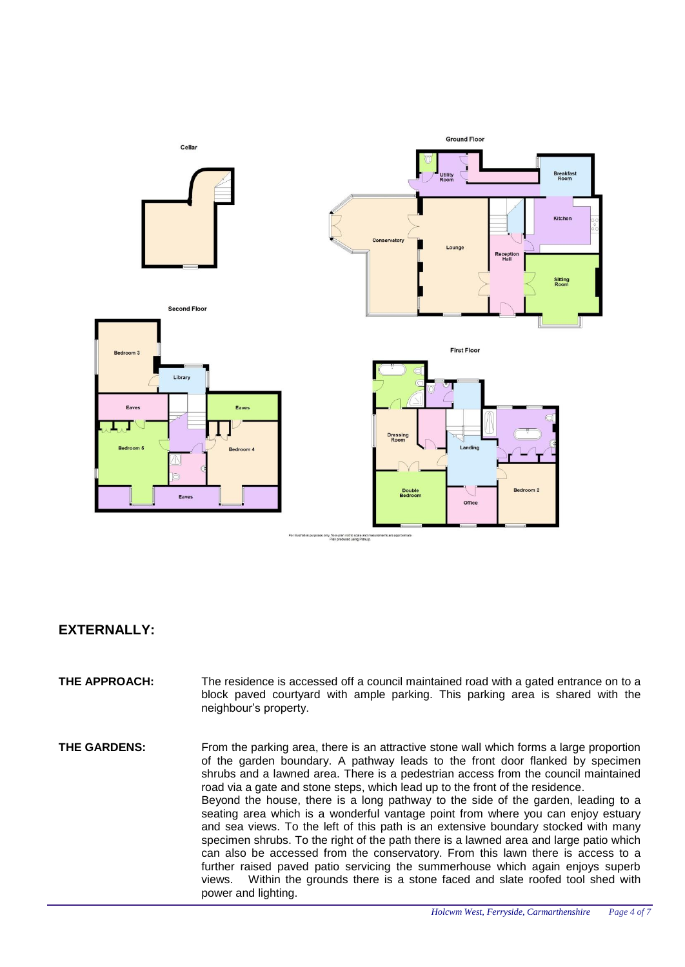

# **EXTERNALLY:**

- **THE APPROACH:** The residence is accessed off a council maintained road with a gated entrance on to a block paved courtyard with ample parking. This parking area is shared with the neighbour's property.
- **THE GARDENS:** From the parking area, there is an attractive stone wall which forms a large proportion of the garden boundary. A pathway leads to the front door flanked by specimen shrubs and a lawned area. There is a pedestrian access from the council maintained road via a gate and stone steps, which lead up to the front of the residence. Beyond the house, there is a long pathway to the side of the garden, leading to a seating area which is a wonderful vantage point from where you can enjoy estuary and sea views. To the left of this path is an extensive boundary stocked with many specimen shrubs. To the right of the path there is a lawned area and large patio which can also be accessed from the conservatory. From this lawn there is access to a further raised paved patio servicing the summerhouse which again enjoys superb views. Within the grounds there is a stone faced and slate roofed tool shed with power and lighting.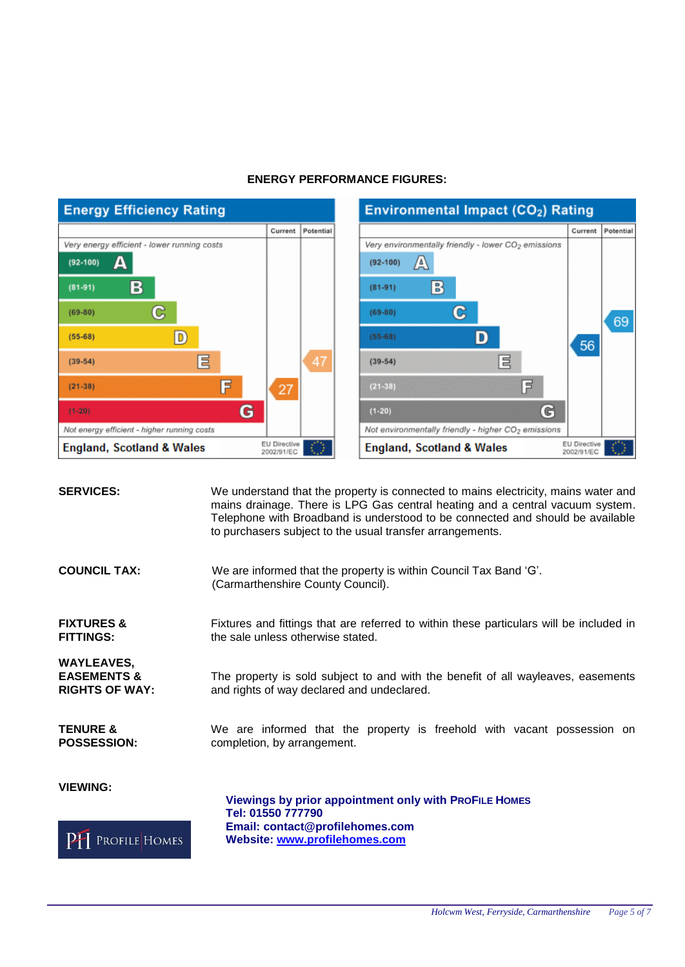

# **ENERGY PERFORMANCE FIGURES:**

| Environmental Impact (CO <sub>2</sub> ) Rating                                                                                                                                                                                                                                   |                            |           |
|----------------------------------------------------------------------------------------------------------------------------------------------------------------------------------------------------------------------------------------------------------------------------------|----------------------------|-----------|
|                                                                                                                                                                                                                                                                                  | Current                    | Potential |
| Very environmentally friendly - lower CO <sub>2</sub> emissions<br>$(92 - 100)$<br>A<br>$\mathbb{B}$<br>$(81 - 91)$<br>G<br>$(69 - 80)$<br>$(55 - 68)$<br>目<br>$(39-54)$<br>E<br>$(21 - 38)$<br>G<br>$(1-20)$<br>Not environmentally friendly - higher CO <sub>2</sub> emissions | 56                         | 69        |
| <b>England, Scotland &amp; Wales</b>                                                                                                                                                                                                                                             | EU Directive<br>2002/91/EC |           |

| <b>SERVICES:</b>                                                     | We understand that the property is connected to mains electricity, mains water and<br>mains drainage. There is LPG Gas central heating and a central vacuum system.<br>Telephone with Broadband is understood to be connected and should be available<br>to purchasers subject to the usual transfer arrangements. |
|----------------------------------------------------------------------|--------------------------------------------------------------------------------------------------------------------------------------------------------------------------------------------------------------------------------------------------------------------------------------------------------------------|
| <b>COUNCIL TAX:</b>                                                  | We are informed that the property is within Council Tax Band 'G'.<br>(Carmarthenshire County Council).                                                                                                                                                                                                             |
| <b>FIXTURES &amp;</b><br><b>FITTINGS:</b>                            | Fixtures and fittings that are referred to within these particulars will be included in<br>the sale unless otherwise stated.                                                                                                                                                                                       |
| <b>WAYLEAVES,</b><br><b>EASEMENTS &amp;</b><br><b>RIGHTS OF WAY:</b> | The property is sold subject to and with the benefit of all wayleaves, easements<br>and rights of way declared and undeclared.                                                                                                                                                                                     |
| <b>TENURE &amp;</b><br><b>POSSESSION:</b>                            | We are informed that the property is freehold with vacant possession on<br>completion, by arrangement.                                                                                                                                                                                                             |
| <b>VIEWING:</b><br>Profile Homes                                     | <b>Viewings by prior appointment only with PROFILE HOMES</b><br>Tel: 01550 777790<br>Email: contact@profilehomes.com<br>Website: www.profilehomes.com                                                                                                                                                              |
|                                                                      |                                                                                                                                                                                                                                                                                                                    |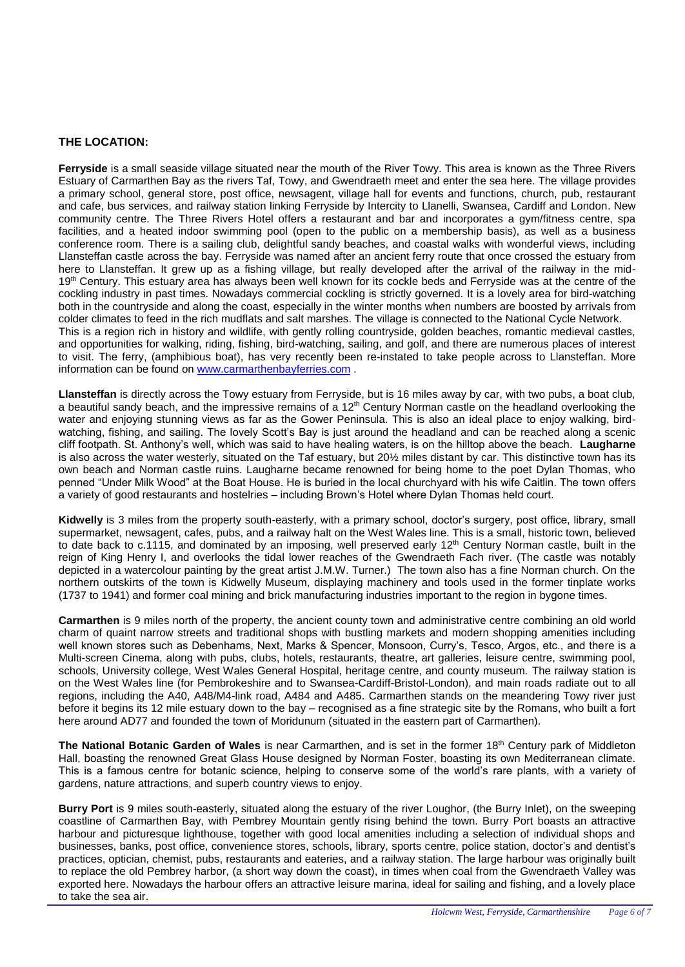## **THE LOCATION:**

**Ferryside** is a small seaside village situated near the mouth of the River Towy. This area is known as the Three Rivers Estuary of Carmarthen Bay as the rivers Taf, Towy, and Gwendraeth meet and enter the sea here. The village provides a primary school, general store, post office, newsagent, village hall for events and functions, church, pub, restaurant and cafe, bus services, and railway station linking Ferryside by Intercity to Llanelli, Swansea, Cardiff and London. New community centre. The Three Rivers Hotel offers a restaurant and bar and incorporates a gym/fitness centre, spa facilities, and a heated indoor swimming pool (open to the public on a membership basis), as well as a business conference room. There is a sailing club, delightful sandy beaches, and coastal walks with wonderful views, including Llansteffan castle across the bay. Ferryside was named after an ancient ferry route that once crossed the estuary from here to Llansteffan. It grew up as a fishing village, but really developed after the arrival of the railway in the mid-19<sup>th</sup> Century. This estuary area has always been well known for its cockle beds and Ferryside was at the centre of the cockling industry in past times. Nowadays commercial cockling is strictly governed. It is a lovely area for bird-watching both in the countryside and along the coast, especially in the winter months when numbers are boosted by arrivals from colder climates to feed in the rich mudflats and salt marshes. The village is connected to the National Cycle Network. This is a region rich in history and wildlife, with gently rolling countryside, golden beaches, romantic medieval castles, and opportunities for walking, riding, fishing, bird-watching, sailing, and golf, and there are numerous places of interest to visit. The ferry, (amphibious boat), has very recently been re-instated to take people across to Llansteffan. More information can be found on [www.carmarthenbayferries.com](http://www.carmarthenbayferries.com/) .

**Llansteffan** is directly across the Towy estuary from Ferryside, but is 16 miles away by car, with two pubs, a boat club, a beautiful sandy beach, and the impressive remains of a  $12<sup>th</sup>$  Century Norman castle on the headland overlooking the water and enjoying stunning views as far as the Gower Peninsula. This is also an ideal place to enjoy walking, birdwatching, fishing, and sailing. The lovely Scott's Bay is just around the headland and can be reached along a scenic cliff footpath. St. Anthony's well, which was said to have healing waters, is on the hilltop above the beach. **Laugharne** is also across the water westerly, situated on the Taf estuary, but 20½ miles distant by car. This distinctive town has its own beach and Norman castle ruins. Laugharne became renowned for being home to the poet Dylan Thomas, who penned "Under Milk Wood" at the Boat House. He is buried in the local churchyard with his wife Caitlin. The town offers a variety of good restaurants and hostelries – including Brown's Hotel where Dylan Thomas held court.

**Kidwelly** is 3 miles from the property south-easterly, with a primary school, doctor's surgery, post office, library, small supermarket, newsagent, cafes, pubs, and a railway halt on the West Wales line. This is a small, historic town, believed to date back to c.1115, and dominated by an imposing, well preserved early 12<sup>th</sup> Century Norman castle, built in the reign of King Henry I, and overlooks the tidal lower reaches of the Gwendraeth Fach river. (The castle was notably depicted in a watercolour painting by the great artist J.M.W. Turner.) The town also has a fine Norman church. On the northern outskirts of the town is Kidwelly Museum, displaying machinery and tools used in the former tinplate works (1737 to 1941) and former coal mining and brick manufacturing industries important to the region in bygone times.

**Carmarthen** is 9 miles north of the property, the ancient county town and administrative centre combining an old world charm of quaint narrow streets and traditional shops with bustling markets and modern shopping amenities including well known stores such as Debenhams, Next, Marks & Spencer, Monsoon, Curry's, Tesco, Argos, etc., and there is a Multi-screen Cinema, along with pubs, clubs, hotels, restaurants, theatre, art galleries, leisure centre, swimming pool, schools, University college, West Wales General Hospital, heritage centre, and county museum. The railway station is on the West Wales line (for Pembrokeshire and to Swansea-Cardiff-Bristol-London), and main roads radiate out to all regions, including the A40, A48/M4-link road, A484 and A485. Carmarthen stands on the meandering Towy river just before it begins its 12 mile estuary down to the bay – recognised as a fine strategic site by the Romans, who built a fort here around AD77 and founded the town of Moridunum (situated in the eastern part of Carmarthen).

**The National Botanic Garden of Wales** is near Carmarthen, and is set in the former 18th Century park of Middleton Hall, boasting the renowned Great Glass House designed by Norman Foster, boasting its own Mediterranean climate. This is a famous centre for botanic science, helping to conserve some of the world's rare plants, with a variety of gardens, nature attractions, and superb country views to enjoy.

**Burry Port** is 9 miles south-easterly, situated along the estuary of the river Loughor, (the Burry Inlet), on the sweeping coastline of Carmarthen Bay, with Pembrey Mountain gently rising behind the town. Burry Port boasts an attractive harbour and picturesque lighthouse, together with good local amenities including a selection of individual shops and businesses, banks, post office, convenience stores, schools, library, sports centre, police station, doctor's and dentist's practices, optician, chemist, pubs, restaurants and eateries, and a railway station. The large harbour was originally built to replace the old Pembrey harbor, (a short way down the coast), in times when coal from the Gwendraeth Valley was exported here. Nowadays the harbour offers an attractive leisure marina, ideal for sailing and fishing, and a lovely place to take the sea air.